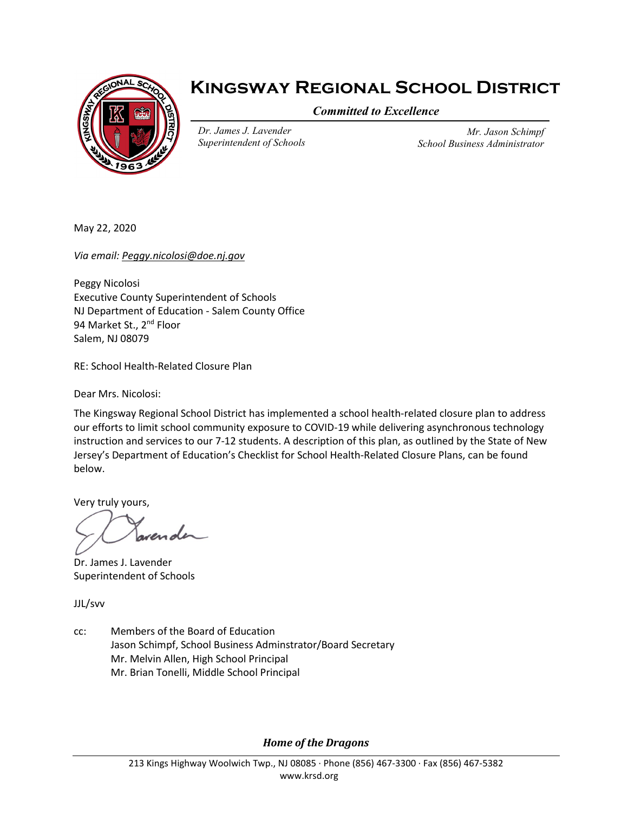

# **Kingsway Regional School District**

*Committed to Excellence*

*Dr. James J. Lavender Superintendent of Schools*

*Mr. Jason Schimpf School Business Administrator*

May 22, 2020

*Via email: [Peggy.nicolosi@doe.nj.gov](mailto:Peggy.nicolosi@doe.nj.gov)*

Peggy Nicolosi Executive County Superintendent of Schools NJ Department of Education - Salem County Office 94 Market St., 2<sup>nd</sup> Floor Salem, NJ 08079

RE: School Health-Related Closure Plan

Dear Mrs. Nicolosi:

The Kingsway Regional School District has implemented a school health-related closure plan to address our efforts to limit school community exposure to COVID-19 while delivering asynchronous technology instruction and services to our 7-12 students. A description of this plan, as outlined by the State of New Jersey's Department of Education's Checklist for School Health-Related Closure Plans, can be found below.

Very truly yours,

Dr. James J. Lavender Superintendent of Schools

JJL/svv

cc: Members of the Board of Education Jason Schimpf, School Business Adminstrator/Board Secretary Mr. Melvin Allen, High School Principal Mr. Brian Tonelli, Middle School Principal

*Home of the Dragons*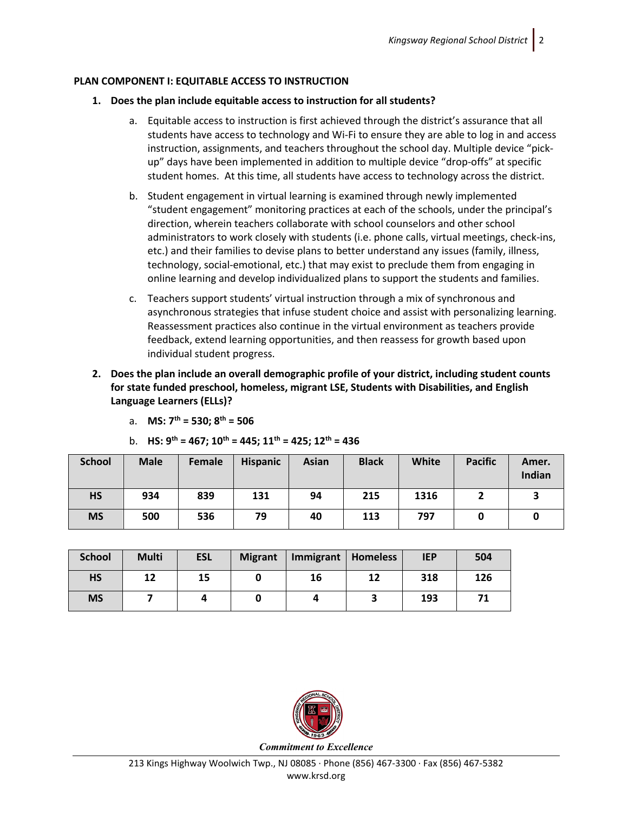# **PLAN COMPONENT I: EQUITABLE ACCESS TO INSTRUCTION**

## **1. Does the plan include equitable access to instruction for all students?**

- a. Equitable access to instruction is first achieved through the district's assurance that all students have access to technology and Wi-Fi to ensure they are able to log in and access instruction, assignments, and teachers throughout the school day. Multiple device "pickup" days have been implemented in addition to multiple device "drop-offs" at specific student homes. At this time, all students have access to technology across the district.
- b. Student engagement in virtual learning is examined through newly implemented "student engagement" monitoring practices at each of the schools, under the principal's direction, wherein teachers collaborate with school counselors and other school administrators to work closely with students (i.e. phone calls, virtual meetings, check-ins, etc.) and their families to devise plans to better understand any issues (family, illness, technology, social-emotional, etc.) that may exist to preclude them from engaging in online learning and develop individualized plans to support the students and families.
- c. Teachers support students' virtual instruction through a mix of synchronous and asynchronous strategies that infuse student choice and assist with personalizing learning. Reassessment practices also continue in the virtual environment as teachers provide feedback, extend learning opportunities, and then reassess for growth based upon individual student progress.
- **2. Does the plan include an overall demographic profile of your district, including student counts for state funded preschool, homeless, migrant LSE, Students with Disabilities, and English Language Learners (ELLs)?**

|  | a. MS: $7^{th}$ = 530; $8^{th}$ = 506 |  |  |  |
|--|---------------------------------------|--|--|--|
|--|---------------------------------------|--|--|--|

b. **HS: 9th = 467; 10th = 445; 11th = 425; 12th = 436**

| <b>School</b> | <b>Male</b> | Female | <b>Hispanic</b> | <b>Asian</b> | <b>Black</b> | White | <b>Pacific</b> | Amer.<br>Indian |
|---------------|-------------|--------|-----------------|--------------|--------------|-------|----------------|-----------------|
| <b>HS</b>     | 934         | 839    | 131             | 94           | 215          | 1316  |                |                 |
| <b>MS</b>     | 500         | 536    | 79              | 40           | 113          | 797   |                |                 |

| <b>School</b> | <b>Multi</b> | <b>ESL</b> | <b>Migrant</b> | Immigrant   Homeless |    | <b>IEP</b> | 504 |
|---------------|--------------|------------|----------------|----------------------|----|------------|-----|
| <b>HS</b>     | 12           | 15         |                | 16                   | 12 | 318        | 126 |
| <b>MS</b>     |              |            |                |                      |    | 193        | 71  |



*Commitment to Excellence*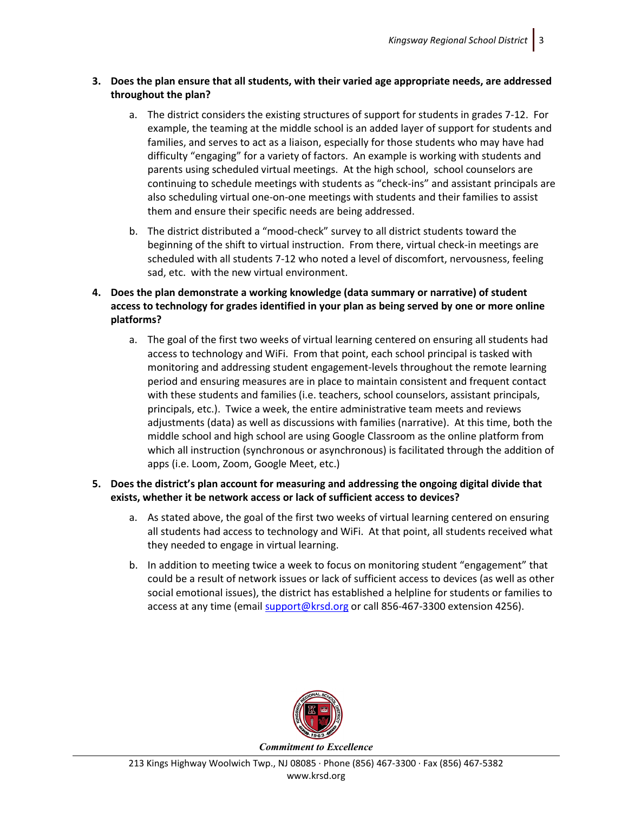# **3. Does the plan ensure that all students, with their varied age appropriate needs, are addressed throughout the plan?**

- a. The district considers the existing structures of support for students in grades 7-12. For example, the teaming at the middle school is an added layer of support for students and families, and serves to act as a liaison, especially for those students who may have had difficulty "engaging" for a variety of factors. An example is working with students and parents using scheduled virtual meetings. At the high school, school counselors are continuing to schedule meetings with students as "check-ins" and assistant principals are also scheduling virtual one-on-one meetings with students and their families to assist them and ensure their specific needs are being addressed.
- b. The district distributed a "mood-check" survey to all district students toward the beginning of the shift to virtual instruction. From there, virtual check-in meetings are scheduled with all students 7-12 who noted a level of discomfort, nervousness, feeling sad, etc. with the new virtual environment.
- **4. Does the plan demonstrate a working knowledge (data summary or narrative) of student access to technology for grades identified in your plan as being served by one or more online platforms?**
	- a. The goal of the first two weeks of virtual learning centered on ensuring all students had access to technology and WiFi. From that point, each school principal is tasked with monitoring and addressing student engagement-levels throughout the remote learning period and ensuring measures are in place to maintain consistent and frequent contact with these students and families (i.e. teachers, school counselors, assistant principals, principals, etc.). Twice a week, the entire administrative team meets and reviews adjustments (data) as well as discussions with families (narrative). At this time, both the middle school and high school are using Google Classroom as the online platform from which all instruction (synchronous or asynchronous) is facilitated through the addition of apps (i.e. Loom, Zoom, Google Meet, etc.)

# **5. Does the district's plan account for measuring and addressing the ongoing digital divide that exists, whether it be network access or lack of sufficient access to devices?**

- a. As stated above, the goal of the first two weeks of virtual learning centered on ensuring all students had access to technology and WiFi. At that point, all students received what they needed to engage in virtual learning.
- b. In addition to meeting twice a week to focus on monitoring student "engagement" that could be a result of network issues or lack of sufficient access to devices (as well as other social emotional issues), the district has established a helpline for students or families to access at any time (emai[l support@krsd.org](mailto:support@krsd.org) or call 856-467-3300 extension 4256).

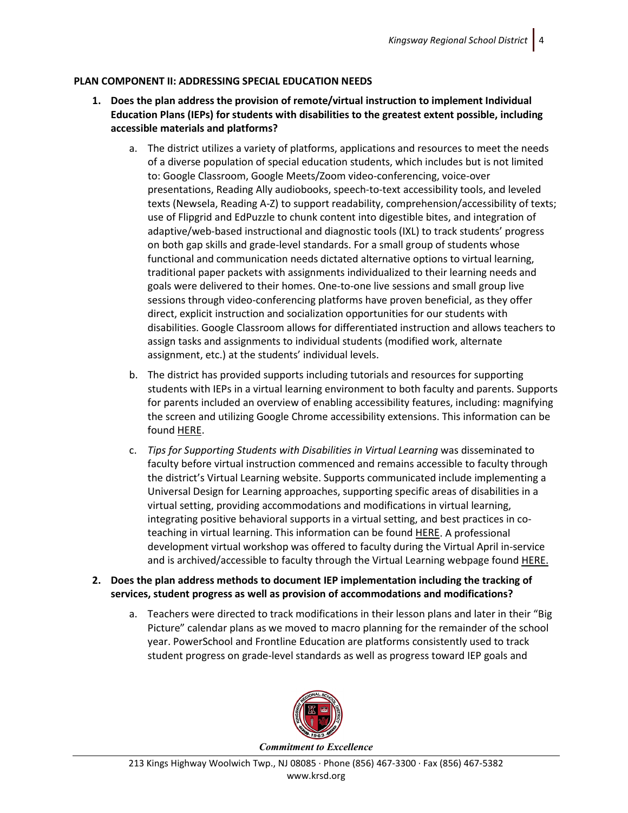# **PLAN COMPONENT II: ADDRESSING SPECIAL EDUCATION NEEDS**

- **1. Does the plan address the provision of remote/virtual instruction to implement Individual Education Plans (IEPs) for students with disabilities to the greatest extent possible, including accessible materials and platforms?**
	- a. The district utilizes a variety of platforms, applications and resources to meet the needs of a diverse population of special education students, which includes but is not limited to: Google Classroom, Google Meets/Zoom video-conferencing, voice-over presentations, Reading Ally audiobooks, speech-to-text accessibility tools, and leveled texts (Newsela, Reading A-Z) to support readability, comprehension/accessibility of texts; use of Flipgrid and EdPuzzle to chunk content into digestible bites, and integration of adaptive/web-based instructional and diagnostic tools (IXL) to track students' progress on both gap skills and grade-level standards. For a small group of students whose functional and communication needs dictated alternative options to virtual learning, traditional paper packets with assignments individualized to their learning needs and goals were delivered to their homes. One-to-one live sessions and small group live sessions through video-conferencing platforms have proven beneficial, as they offer direct, explicit instruction and socialization opportunities for our students with disabilities. Google Classroom allows for differentiated instruction and allows teachers to assign tasks and assignments to individual students (modified work, alternate assignment, etc.) at the students' individual levels.
	- b. The district has provided supports including tutorials and resources for supporting students with IEPs in a virtual learning environment to both faculty and parents. Supports for parents included an overview of enabling accessibility features, including: magnifying the screen and utilizing Google Chrome accessibility extensions. This information can be found [HERE.](https://www.krsd.org/Page/1684)
	- c. *Tips for Supporting Students with Disabilities in Virtual Learning* was disseminated to faculty before virtual instruction commenced and remains accessible to faculty through the district's Virtual Learning website. Supports communicated include implementing a Universal Design for Learning approaches, supporting specific areas of disabilities in a virtual setting, providing accommodations and modifications in virtual learning, integrating positive behavioral supports in a virtual setting, and best practices in coteaching in virtual learning. This information can be found [HERE.](https://drive.google.com/file/d/1dBwEbILmAZLUJ_zCIakuEcu-M4LhfCOf/view?usp=sharing) A professional development virtual workshop was offered to faculty during the Virtual April in-service and is archived/accessible to faculty through the Virtual Learning webpage foun[d HERE.](https://www.loom.com/share/91649f55999d4cfc94fa82b24f0cefff)
- **2. Does the plan address methods to document IEP implementation including the tracking of services, student progress as well as provision of accommodations and modifications?**
	- a. Teachers were directed to track modifications in their lesson plans and later in their "Big Picture" calendar plans as we moved to macro planning for the remainder of the school year. PowerSchool and Frontline Education are platforms consistently used to track student progress on grade-level standards as well as progress toward IEP goals and

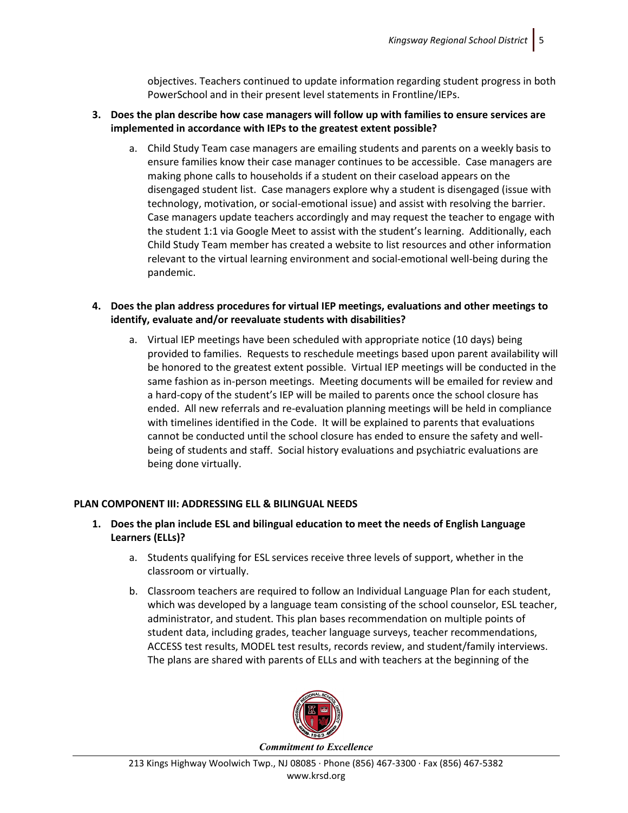objectives. Teachers continued to update information regarding student progress in both PowerSchool and in their present level statements in Frontline/IEPs.

# **3. Does the plan describe how case managers will follow up with families to ensure services are implemented in accordance with IEPs to the greatest extent possible?**

a. Child Study Team case managers are emailing students and parents on a weekly basis to ensure families know their case manager continues to be accessible. Case managers are making phone calls to households if a student on their caseload appears on the disengaged student list. Case managers explore why a student is disengaged (issue with technology, motivation, or social-emotional issue) and assist with resolving the barrier. Case managers update teachers accordingly and may request the teacher to engage with the student 1:1 via Google Meet to assist with the student's learning. Additionally, each Child Study Team member has created a website to list resources and other information relevant to the virtual learning environment and social-emotional well-being during the pandemic.

# **4. Does the plan address procedures for virtual IEP meetings, evaluations and other meetings to identify, evaluate and/or reevaluate students with disabilities?**

a. Virtual IEP meetings have been scheduled with appropriate notice (10 days) being provided to families. Requests to reschedule meetings based upon parent availability will be honored to the greatest extent possible. Virtual IEP meetings will be conducted in the same fashion as in-person meetings. Meeting documents will be emailed for review and a hard-copy of the student's IEP will be mailed to parents once the school closure has ended. All new referrals and re-evaluation planning meetings will be held in compliance with timelines identified in the Code. It will be explained to parents that evaluations cannot be conducted until the school closure has ended to ensure the safety and wellbeing of students and staff. Social history evaluations and psychiatric evaluations are being done virtually.

# **PLAN COMPONENT III: ADDRESSING ELL & BILINGUAL NEEDS**

- **1. Does the plan include ESL and bilingual education to meet the needs of English Language Learners (ELLs)?**
	- a. Students qualifying for ESL services receive three levels of support, whether in the classroom or virtually.
	- b. Classroom teachers are required to follow an Individual Language Plan for each student, which was developed by a language team consisting of the school counselor, ESL teacher, administrator, and student. This plan bases recommendation on multiple points of student data, including grades, teacher language surveys, teacher recommendations, ACCESS test results, MODEL test results, records review, and student/family interviews. The plans are shared with parents of ELLs and with teachers at the beginning of the

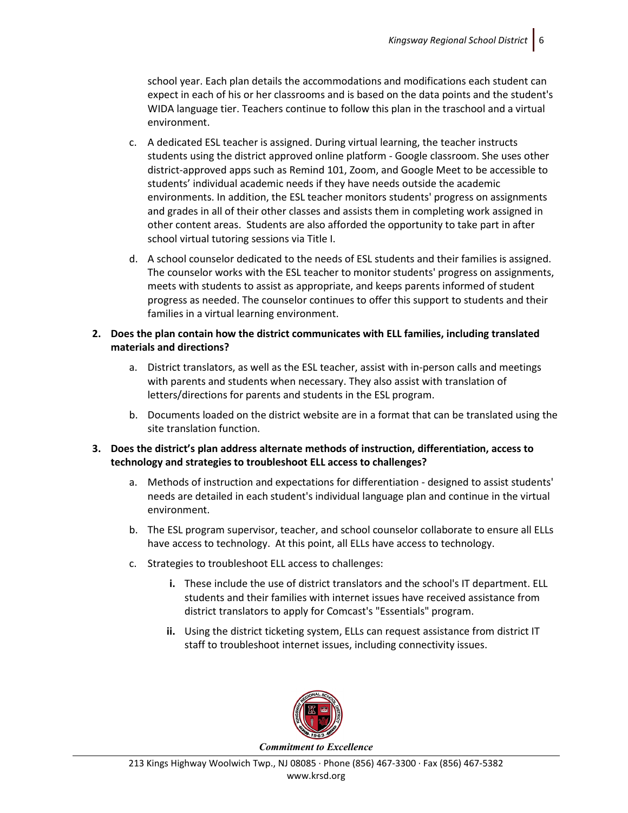school year. Each plan details the accommodations and modifications each student can expect in each of his or her classrooms and is based on the data points and the student's WIDA language tier. Teachers continue to follow this plan in the traschool and a virtual environment.

- c. A dedicated ESL teacher is assigned. During virtual learning, the teacher instructs students using the district approved online platform - Google classroom. She uses other district-approved apps such as Remind 101, Zoom, and Google Meet to be accessible to students' individual academic needs if they have needs outside the academic environments. In addition, the ESL teacher monitors students' progress on assignments and grades in all of their other classes and assists them in completing work assigned in other content areas. Students are also afforded the opportunity to take part in after school virtual tutoring sessions via Title I.
- d. A school counselor dedicated to the needs of ESL students and their families is assigned. The counselor works with the ESL teacher to monitor students' progress on assignments, meets with students to assist as appropriate, and keeps parents informed of student progress as needed. The counselor continues to offer this support to students and their families in a virtual learning environment.

# **2. Does the plan contain how the district communicates with ELL families, including translated materials and directions?**

- a. District translators, as well as the ESL teacher, assist with in-person calls and meetings with parents and students when necessary. They also assist with translation of letters/directions for parents and students in the ESL program.
- b. Documents loaded on the district website are in a format that can be translated using the site translation function.

# **3. Does the district's plan address alternate methods of instruction, differentiation, access to technology and strategies to troubleshoot ELL access to challenges?**

- a. Methods of instruction and expectations for differentiation designed to assist students' needs are detailed in each student's individual language plan and continue in the virtual environment.
- b. The ESL program supervisor, teacher, and school counselor collaborate to ensure all ELLs have access to technology. At this point, all ELLs have access to technology.
- c. Strategies to troubleshoot ELL access to challenges:
	- **i.** These include the use of district translators and the school's IT department. ELL students and their families with internet issues have received assistance from district translators to apply for Comcast's "Essentials" program.
	- **ii.** Using the district ticketing system, ELLs can request assistance from district IT staff to troubleshoot internet issues, including connectivity issues.

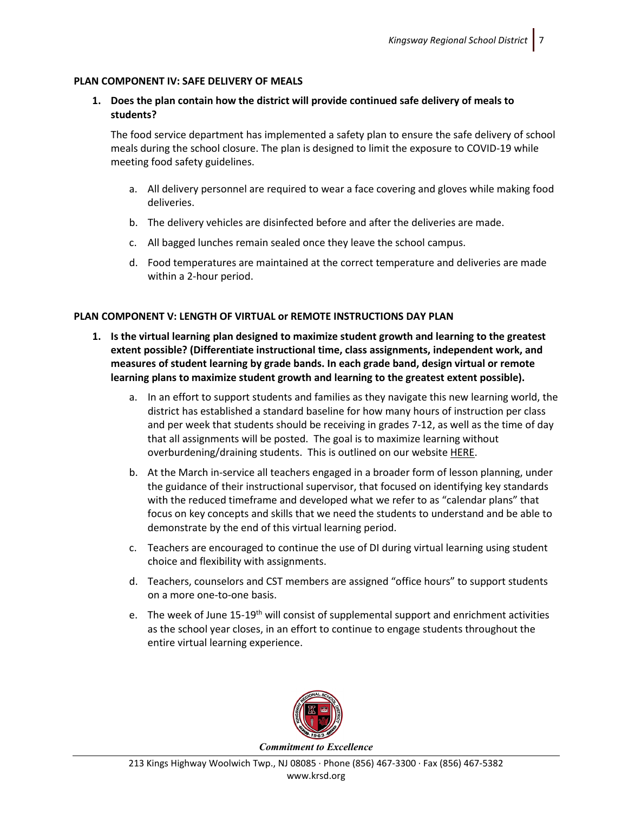#### **PLAN COMPONENT IV: SAFE DELIVERY OF MEALS**

**1. Does the plan contain how the district will provide continued safe delivery of meals to students?**

The food service department has implemented a safety plan to ensure the safe delivery of school meals during the school closure. The plan is designed to limit the exposure to COVID-19 while meeting food safety guidelines.

- a. All delivery personnel are required to wear a face covering and gloves while making food deliveries.
- b. The delivery vehicles are disinfected before and after the deliveries are made.
- c. All bagged lunches remain sealed once they leave the school campus.
- d. Food temperatures are maintained at the correct temperature and deliveries are made within a 2-hour period.

#### **PLAN COMPONENT V: LENGTH OF VIRTUAL or REMOTE INSTRUCTIONS DAY PLAN**

- **1. Is the virtual learning plan designed to maximize student growth and learning to the greatest extent possible? (Differentiate instructional time, class assignments, independent work, and measures of student learning by grade bands. In each grade band, design virtual or remote learning plans to maximize student growth and learning to the greatest extent possible).**
	- a. In an effort to support students and families as they navigate this new learning world, the district has established a standard baseline for how many hours of instruction per class and per week that students should be receiving in grades 7-12, as well as the time of day that all assignments will be posted. The goal is to maximize learning without overburdening/draining students. This is outlined on our website [HERE.](https://www.krsd.org/domain/434)
	- b. At the March in-service all teachers engaged in a broader form of lesson planning, under the guidance of their instructional supervisor, that focused on identifying key standards with the reduced timeframe and developed what we refer to as "calendar plans" that focus on key concepts and skills that we need the students to understand and be able to demonstrate by the end of this virtual learning period.
	- c. Teachers are encouraged to continue the use of DI during virtual learning using student choice and flexibility with assignments.
	- d. Teachers, counselors and CST members are assigned "office hours" to support students on a more one-to-one basis.
	- e. The week of June 15-19<sup>th</sup> will consist of supplemental support and enrichment activities as the school year closes, in an effort to continue to engage students throughout the entire virtual learning experience.



213 Kings Highway Woolwich Twp., NJ 08085 ∙ Phone (856) 467-3300 ∙ Fax (856) 467-5382 www.krsd.org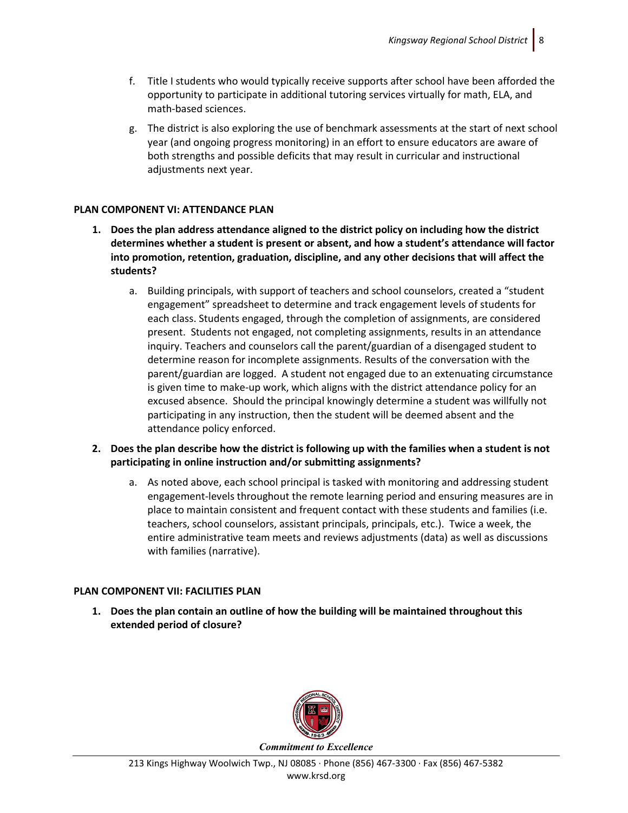- f. Title I students who would typically receive supports after school have been afforded the opportunity to participate in additional tutoring services virtually for math, ELA, and math-based sciences.
- g. The district is also exploring the use of benchmark assessments at the start of next school year (and ongoing progress monitoring) in an effort to ensure educators are aware of both strengths and possible deficits that may result in curricular and instructional adjustments next year.

## **PLAN COMPONENT VI: ATTENDANCE PLAN**

- **1. Does the plan address attendance aligned to the district policy on including how the district determines whether a student is present or absent, and how a student's attendance will factor into promotion, retention, graduation, discipline, and any other decisions that will affect the students?**
	- a. Building principals, with support of teachers and school counselors, created a "student engagement" spreadsheet to determine and track engagement levels of students for each class. Students engaged, through the completion of assignments, are considered present. Students not engaged, not completing assignments, results in an attendance inquiry. Teachers and counselors call the parent/guardian of a disengaged student to determine reason for incomplete assignments. Results of the conversation with the parent/guardian are logged. A student not engaged due to an extenuating circumstance is given time to make-up work, which aligns with the district attendance policy for an excused absence. Should the principal knowingly determine a student was willfully not participating in any instruction, then the student will be deemed absent and the attendance policy enforced.
- **2. Does the plan describe how the district is following up with the families when a student is not participating in online instruction and/or submitting assignments?**
	- a. As noted above, each school principal is tasked with monitoring and addressing student engagement-levels throughout the remote learning period and ensuring measures are in place to maintain consistent and frequent contact with these students and families (i.e. teachers, school counselors, assistant principals, principals, etc.). Twice a week, the entire administrative team meets and reviews adjustments (data) as well as discussions with families (narrative).

# **PLAN COMPONENT VII: FACILITIES PLAN**

**1. Does the plan contain an outline of how the building will be maintained throughout this extended period of closure?**



213 Kings Highway Woolwich Twp., NJ 08085 ∙ Phone (856) 467-3300 ∙ Fax (856) 467-5382 www.krsd.org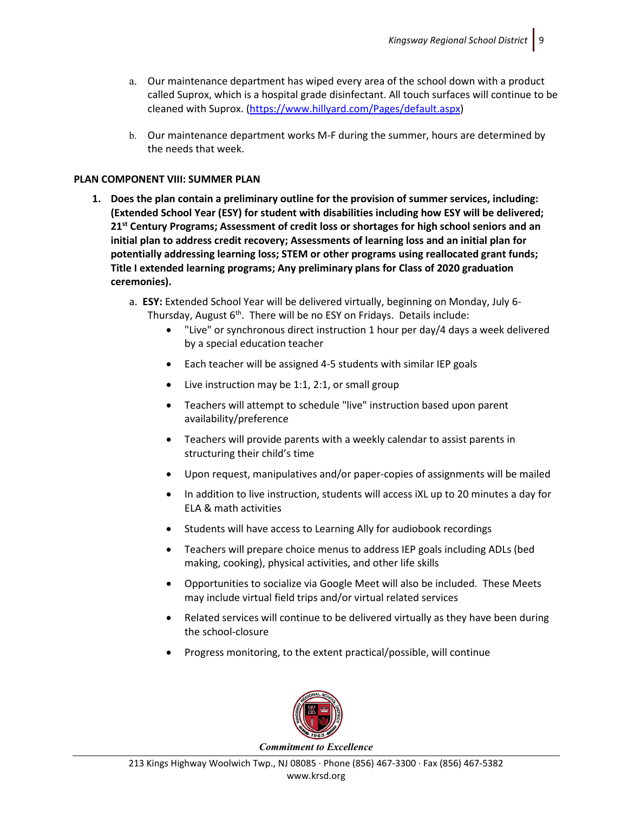- a. Our maintenance department has wiped every area of the school down with a product called Suprox, which is a hospital grade disinfectant. All touch surfaces will continue to be cleaned with Suprox. [\(https://www.hillyard.com/Pages/default.aspx\)](https://www.hillyard.com/Pages/default.aspx)
- b. Our maintenance department works M-F during the summer, hours are determined by the needs that week.

# **PLAN COMPONENT VIII: SUMMER PLAN**

- **1. Does the plan contain a preliminary outline for the provision of summer services, including: (Extended School Year (ESY) for student with disabilities including how ESY will be delivered; 21st Century Programs; Assessment of credit loss or shortages for high school seniors and an initial plan to address credit recovery; Assessments of learning loss and an initial plan for potentially addressing learning loss; STEM or other programs using reallocated grant funds; Title I extended learning programs; Any preliminary plans for Class of 2020 graduation ceremonies).**
	- a. **ESY:** Extended School Year will be delivered virtually, beginning on Monday, July 6- Thursday, August 6<sup>th</sup>. There will be no ESY on Fridays. Details include:
		- "Live" or synchronous direct instruction 1 hour per day/4 days a week delivered by a special education teacher
		- Each teacher will be assigned 4-5 students with similar IEP goals
		- Live instruction may be 1:1, 2:1, or small group
		- Teachers will attempt to schedule "live" instruction based upon parent availability/preference
		- Teachers will provide parents with a weekly calendar to assist parents in structuring their child's time
		- Upon request, manipulatives and/or paper-copies of assignments will be mailed
		- In addition to live instruction, students will access iXL up to 20 minutes a day for ELA & math activities
		- Students will have access to Learning Ally for audiobook recordings
		- Teachers will prepare choice menus to address IEP goals including ADLs (bed making, cooking), physical activities, and other life skills
		- Opportunities to socialize via Google Meet will also be included. These Meets may include virtual field trips and/or virtual related services
		- Related services will continue to be delivered virtually as they have been during the school-closure
		- Progress monitoring, to the extent practical/possible, will continue